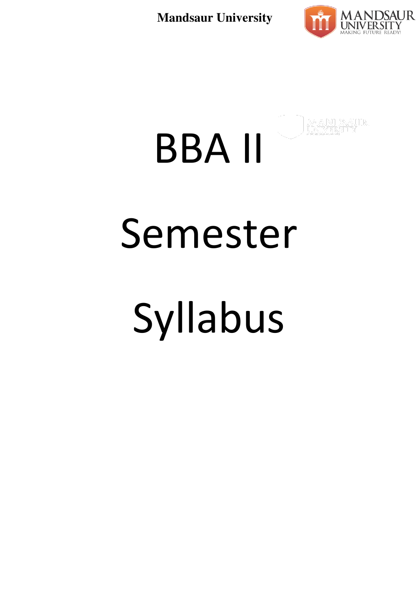

# BBA II Semester Syllabus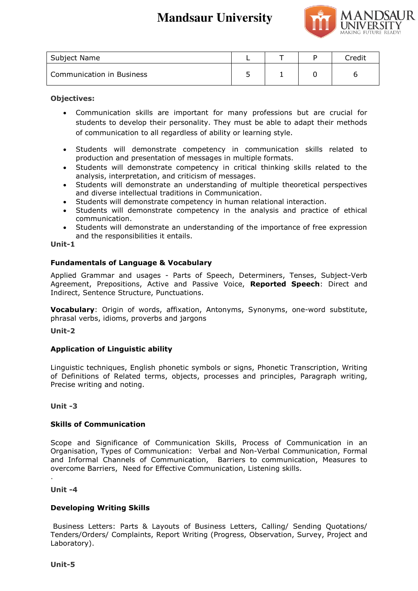

| Subject Name              |  | Credit |
|---------------------------|--|--------|
| Communication in Business |  |        |

#### **Objectives:**

- Communication skills are important for many professions but are crucial for students to develop their personality. They must be able to adapt their methods of communication to all regardless of ability or learning style.
- Students will demonstrate competency in communication skills related to production and presentation of messages in multiple formats.
- Students will demonstrate competency in critical thinking skills related to the analysis, interpretation, and criticism of messages.
- Students will demonstrate an understanding of multiple theoretical perspectives and diverse intellectual traditions in Communication.
- Students will demonstrate competency in human relational interaction.
- Students will demonstrate competency in the analysis and practice of ethical communication.
- Students will demonstrate an understanding of the importance of free expression and the responsibilities it entails.

#### **Unit-1**

# **Fundamentals of Language & Vocabulary**

Applied Grammar and usages - Parts of Speech, Determiners, Tenses, Subject-Verb Agreement, Prepositions, Active and Passive Voice, **Reported Speech**: Direct and Indirect, Sentence Structure, Punctuations.

**Vocabulary**: Origin of words, affixation, Antonyms, Synonyms, one-word substitute, phrasal verbs, idioms, proverbs and jargons

**Unit-2** 

# **Application of Linguistic ability**

Linguistic techniques, English phonetic symbols or signs, Phonetic Transcription, Writing of Definitions of Related terms, objects, processes and principles, Paragraph writing, Precise writing and noting.

# **Unit -3**

# **Skills of Communication**

Scope and Significance of Communication Skills, Process of Communication in an Organisation, Types of Communication: Verbal and Non-Verbal Communication, Formal and Informal Channels of Communication, Barriers to communication, Measures to overcome Barriers, Need for Effective Communication, Listening skills.

# **Unit -4**

.

# **Developing Writing Skills**

 Business Letters: Parts & Layouts of Business Letters, Calling/ Sending Quotations/ Tenders/Orders/ Complaints, Report Writing (Progress, Observation, Survey, Project and Laboratory).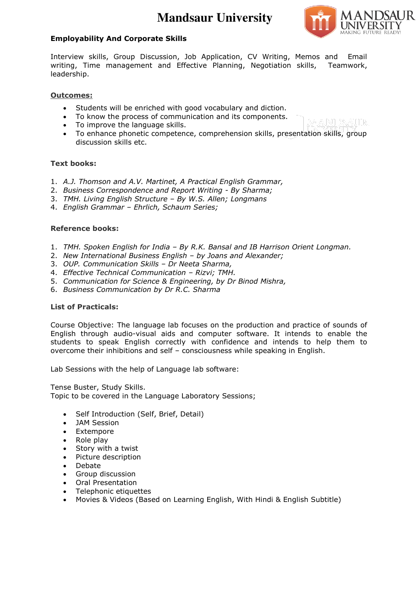

#### **Employability And Corporate Skills**

Interview skills, Group Discussion, Job Application, CV Writing, Memos and Email writing, Time management and Effective Planning, Negotiation skills, Teamwork, leadership.

#### **Outcomes:**

- Students will be enriched with good vocabulary and diction.
- To know the process of communication and its components.
- To improve the language skills.
- To enhance phonetic competence, comprehension skills, presentation skills, group discussion skills etc.

#### **Text books:**

- 1. *A.J. Thomson and A.V. Martinet, A Practical English Grammar,*
- 2. *Business Correspondence and Report Writing By Sharma;*
- 3. *TMH. Living English Structure – By W.S. Allen; Longmans*
- 4. *English Grammar – Ehrlich, Schaum Series;*

#### **Reference books:**

- 1. *TMH. Spoken English for India – By R.K. Bansal and IB Harrison Orient Longman.*
- 2. *New International Business English – by Joans and Alexander;*
- 3. *OUP. Communication Skills – Dr Neeta Sharma,*
- 4. *Effective Technical Communication – Rizvi; TMH.*
- 5. *Communication for Science & Engineering, by Dr Binod Mishra,*
- 6. *Business Communication by Dr R.C. Sharma*

#### **List of Practicals:**

Course Objective: The language lab focuses on the production and practice of sounds of English through audio-visual aids and computer software. It intends to enable the students to speak English correctly with confidence and intends to help them to overcome their inhibitions and self – consciousness while speaking in English.

Lab Sessions with the help of Language lab software:

Tense Buster, Study Skills. Topic to be covered in the Language Laboratory Sessions;

- Self Introduction (Self, Brief, Detail)
- JAM Session
- Extempore
- Role play
- Story with a twist
- Picture description
- Debate
- Group discussion
- Oral Presentation
- Telephonic etiquettes
- Movies & Videos (Based on Learning English, With Hindi & English Subtitle)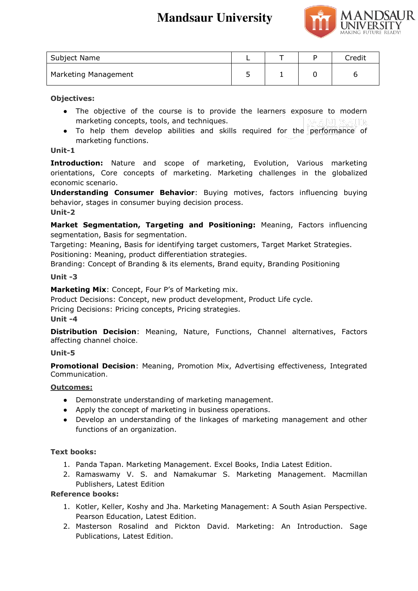

| Subject Name         |  | Credit |
|----------------------|--|--------|
| Marketing Management |  | ∽      |

# **Objectives:**

- The objective of the course is to provide the learners exposure to modern marketing concepts, tools, and techniques.
- To help them develop abilities and skills required for the performance of marketing functions.

#### **Unit-1**

**Introduction:** Nature and scope of marketing, Evolution, Various marketing orientations, Core concepts of marketing. Marketing challenges in the globalized economic scenario.

**Understanding Consumer Behavior**: Buying motives, factors influencing buying behavior, stages in consumer buying decision process. **Unit-2** 

**Market Segmentation, Targeting and Positioning:** Meaning, Factors influencing segmentation, Basis for segmentation.

Targeting: Meaning, Basis for identifying target customers, Target Market Strategies. Positioning: Meaning, product differentiation strategies.

Branding: Concept of Branding & its elements, Brand equity, Branding Positioning

#### **Unit -3**

**Marketing Mix**: Concept, Four P's of Marketing mix.

Product Decisions: Concept, new product development, Product Life cycle.

Pricing Decisions: Pricing concepts, Pricing strategies.

#### **Unit -4**

**Distribution Decision**: Meaning, Nature, Functions, Channel alternatives, Factors affecting channel choice.

# **Unit-5**

**Promotional Decision**: Meaning, Promotion Mix, Advertising effectiveness, Integrated Communication.

# **Outcomes:**

- Demonstrate understanding of marketing management.
- Apply the concept of marketing in business operations.
- Develop an understanding of the linkages of marketing management and other functions of an organization.

# **Text books:**

- 1. Panda Tapan. Marketing Management. Excel Books, India Latest Edition.
- 2. Ramaswamy V. S. and Namakumar S. Marketing Management. Macmillan Publishers, Latest Edition

# **Reference books:**

- 1. Kotler, Keller, Koshy and Jha. Marketing Management: A South Asian Perspective. Pearson Education, Latest Edition.
- 2. Masterson Rosalind and Pickton David. Marketing: An Introduction. Sage Publications, Latest Edition.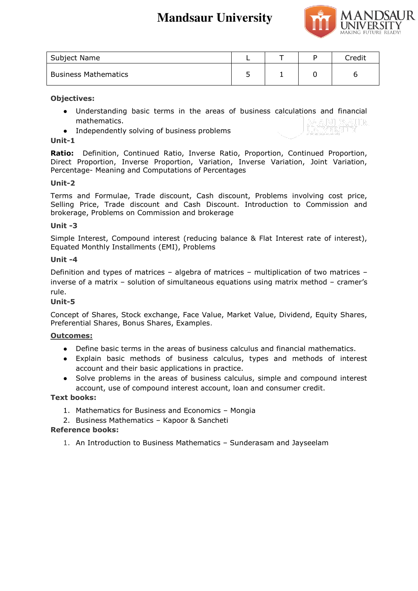

| Subject Name                |  | Credit |
|-----------------------------|--|--------|
| <b>Business Mathematics</b> |  | n      |

# **Objectives:**

- Understanding basic terms in the areas of business calculations and financial mathematics.
- Independently solving of business problems

# **Unit-1**

**Ratio:** Definition, Continued Ratio, Inverse Ratio, Proportion, Continued Proportion, Direct Proportion, Inverse Proportion, Variation, Inverse Variation, Joint Variation, Percentage- Meaning and Computations of Percentages

# **Unit-2**

Terms and Formulae, Trade discount, Cash discount, Problems involving cost price, Selling Price, Trade discount and Cash Discount. Introduction to Commission and brokerage, Problems on Commission and brokerage

#### **Unit -3**

Simple Interest, Compound interest (reducing balance & Flat Interest rate of interest), Equated Monthly Installments (EMI), Problems

#### **Unit -4**

Definition and types of matrices – algebra of matrices – multiplication of two matrices – inverse of a matrix – solution of simultaneous equations using matrix method – cramer's rule.

# **Unit-5**

Concept of Shares, Stock exchange, Face Value, Market Value, Dividend, Equity Shares, Preferential Shares, Bonus Shares, Examples.

# **Outcomes:**

- Define basic terms in the areas of business calculus and financial mathematics.
- Explain basic methods of business calculus, types and methods of interest account and their basic applications in practice.
- Solve problems in the areas of business calculus, simple and compound interest account, use of compound interest account, loan and consumer credit.

# **Text books:**

- 1. Mathematics for Business and Economics Mongia
- 2. Business Mathematics Kapoor & Sancheti

#### **Reference books:**

1. An Introduction to Business Mathematics – Sunderasam and Jayseelam